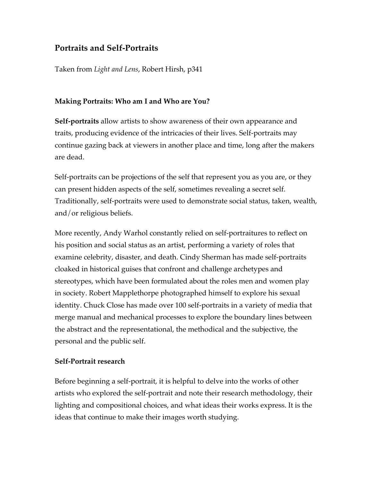## **Portraits and Self-Portraits**

Taken from *Light and Lens*, Robert Hirsh, p341

### **Making Portraits: Who am I and Who are You?**

**Self-portraits** allow artists to show awareness of their own appearance and traits, producing evidence of the intricacies of their lives. Self-portraits may continue gazing back at viewers in another place and time, long after the makers are dead.

Self-portraits can be projections of the self that represent you as you are, or they can present hidden aspects of the self, sometimes revealing a secret self. Traditionally, self-portraits were used to demonstrate social status, taken, wealth, and/or religious beliefs.

More recently, Andy Warhol constantly relied on self-portraitures to reflect on his position and social status as an artist, performing a variety of roles that examine celebrity, disaster, and death. Cindy Sherman has made self-portraits cloaked in historical guises that confront and challenge archetypes and stereotypes, which have been formulated about the roles men and women play in society. Robert Mapplethorpe photographed himself to explore his sexual identity. Chuck Close has made over 100 self-portraits in a variety of media that merge manual and mechanical processes to explore the boundary lines between the abstract and the representational, the methodical and the subjective, the personal and the public self.

### **Self-Portrait research**

Before beginning a self-portrait, it is helpful to delve into the works of other artists who explored the self-portrait and note their research methodology, their lighting and compositional choices, and what ideas their works express. It is the ideas that continue to make their images worth studying.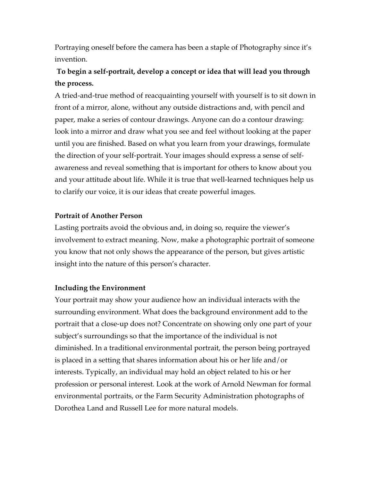Portraying oneself before the camera has been a staple of Photography since it's invention.

# **To begin a self-portrait, develop a concept or idea that will lead you through the process.**

A tried-and-true method of reacquainting yourself with yourself is to sit down in front of a mirror, alone, without any outside distractions and, with pencil and paper, make a series of contour drawings. Anyone can do a contour drawing: look into a mirror and draw what you see and feel without looking at the paper until you are finished. Based on what you learn from your drawings, formulate the direction of your self-portrait. Your images should express a sense of selfawareness and reveal something that is important for others to know about you and your attitude about life. While it is true that well-learned techniques help us to clarify our voice, it is our ideas that create powerful images.

### **Portrait of Another Person**

Lasting portraits avoid the obvious and, in doing so, require the viewer's involvement to extract meaning. Now, make a photographic portrait of someone you know that not only shows the appearance of the person, but gives artistic insight into the nature of this person's character.

### **Including the Environment**

Your portrait may show your audience how an individual interacts with the surrounding environment. What does the background environment add to the portrait that a close-up does not? Concentrate on showing only one part of your subject's surroundings so that the importance of the individual is not diminished. In a traditional environmental portrait, the person being portrayed is placed in a setting that shares information about his or her life and/or interests. Typically, an individual may hold an object related to his or her profession or personal interest. Look at the work of Arnold Newman for formal environmental portraits, or the Farm Security Administration photographs of Dorothea Land and Russell Lee for more natural models.